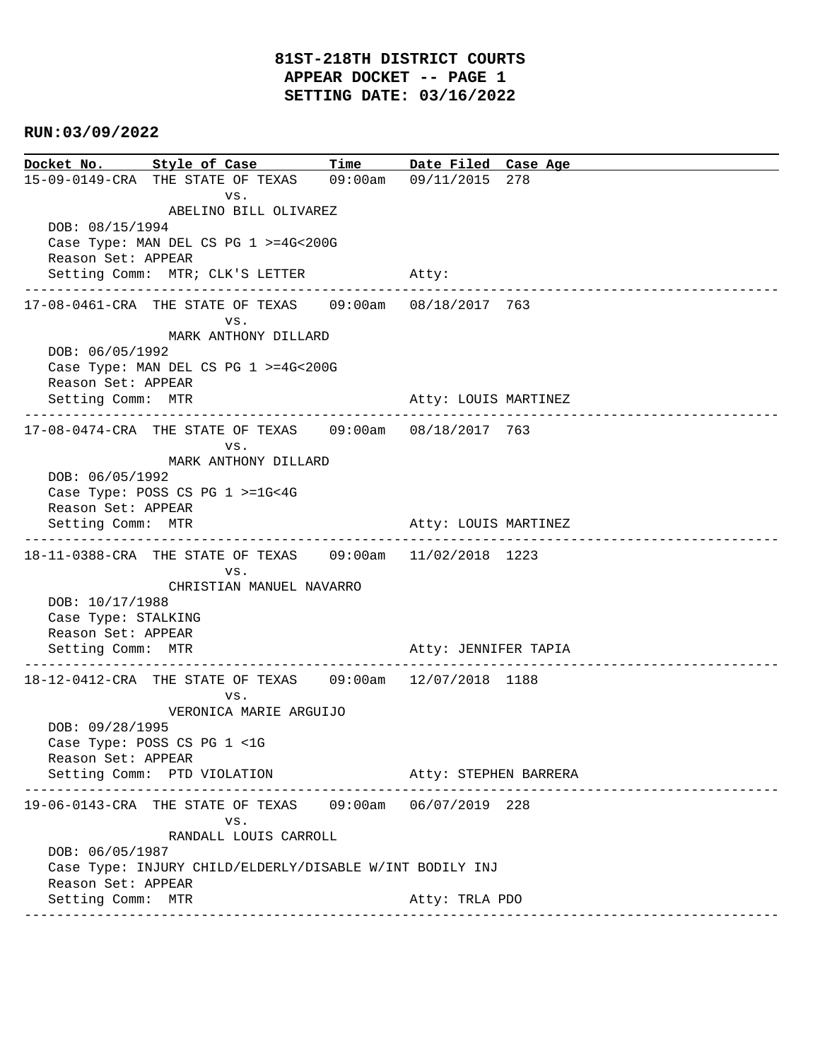**Docket No. Style of Case Time Date Filed Case Age**  15-09-0149-CRA THE STATE OF TEXAS 09:00am 09/11/2015 278 vs. ABELINO BILL OLIVAREZ DOB: 08/15/1994 Case Type: MAN DEL CS PG 1 >=4G<200G Reason Set: APPEAR Setting Comm: MTR; CLK'S LETTER Atty: ---------------------------------------------------------------------------------------------- 17-08-0461-CRA THE STATE OF TEXAS 09:00am 08/18/2017 763 vs. MARK ANTHONY DILLARD DOB: 06/05/1992 Case Type: MAN DEL CS PG 1 >=4G<200G Reason Set: APPEAR Setting Comm: MTR Atty: LOUIS MARTINEZ ---------------------------------------------------------------------------------------------- 17-08-0474-CRA THE STATE OF TEXAS 09:00am 08/18/2017 763 vs. MARK ANTHONY DILLARD DOB: 06/05/1992 Case Type: POSS CS PG 1 >=1G<4G Reason Set: APPEAR Setting Comm: MTR Atty: LOUIS MARTINEZ ---------------------------------------------------------------------------------------------- 18-11-0388-CRA THE STATE OF TEXAS 09:00am 11/02/2018 1223 vs. CHRISTIAN MANUEL NAVARRO DOB: 10/17/1988 Case Type: STALKING Reason Set: APPEAR Setting Comm: MTR Atty: JENNIFER TAPIA ---------------------------------------------------------------------------------------------- 18-12-0412-CRA THE STATE OF TEXAS 09:00am 12/07/2018 1188 vs. VERONICA MARIE ARGUIJO DOB: 09/28/1995 Case Type: POSS CS PG 1 <1G Reason Set: APPEAR Setting Comm: PTD VIOLATION Atty: STEPHEN BARRERA ---------------------------------------------------------------------------------------------- 19-06-0143-CRA THE STATE OF TEXAS 09:00am 06/07/2019 228 vs. RANDALL LOUIS CARROLL DOB: 06/05/1987 Case Type: INJURY CHILD/ELDERLY/DISABLE W/INT BODILY INJ Reason Set: APPEAR Setting Comm: MTR Atty: TRLA PDO ----------------------------------------------------------------------------------------------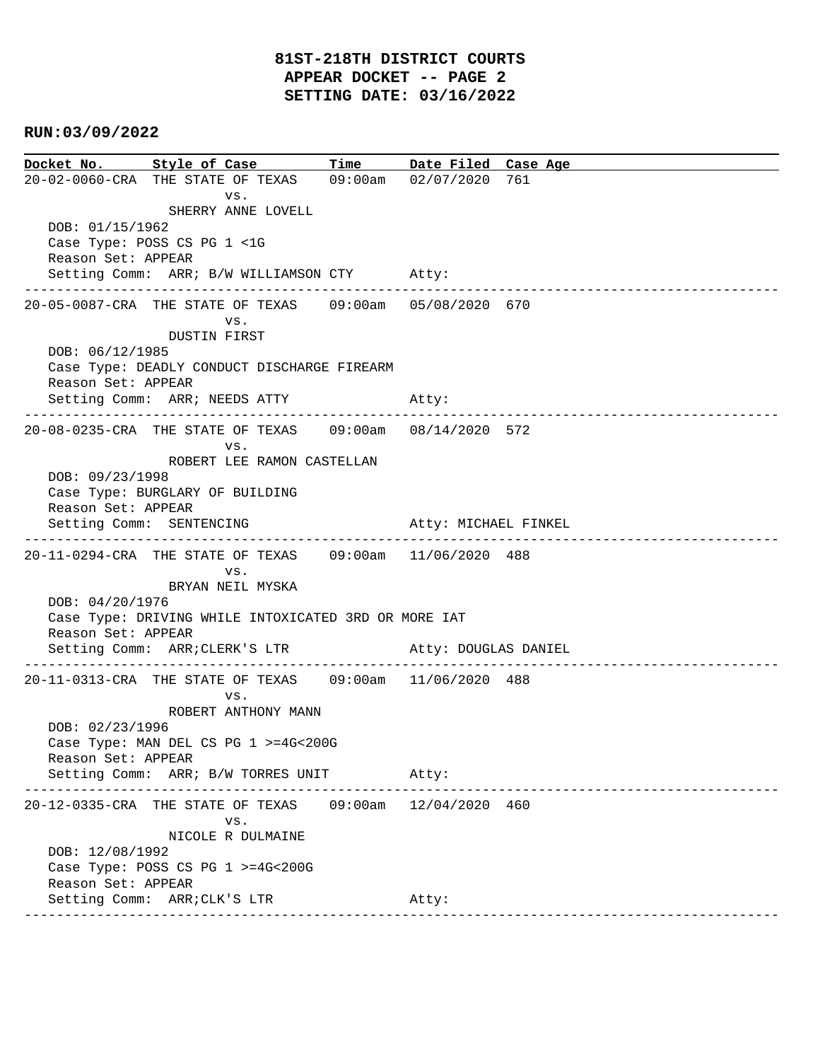**Docket No. Style of Case Time Date Filed Case Age**  20-02-0060-CRA THE STATE OF TEXAS 09:00am 02/07/2020 761 vs. SHERRY ANNE LOVELL DOB: 01/15/1962 Case Type: POSS CS PG 1 <1G Reason Set: APPEAR Setting Comm: ARR; B/W WILLIAMSON CTY Atty: ---------------------------------------------------------------------------------------------- 20-05-0087-CRA THE STATE OF TEXAS 09:00am 05/08/2020 670 vs. DUSTIN FIRST DOB: 06/12/1985 Case Type: DEADLY CONDUCT DISCHARGE FIREARM Reason Set: APPEAR Setting Comm: ARR; NEEDS ATTY Atty: ---------------------------------------------------------------------------------------------- 20-08-0235-CRA THE STATE OF TEXAS 09:00am 08/14/2020 572 vs. ROBERT LEE RAMON CASTELLAN DOB: 09/23/1998 Case Type: BURGLARY OF BUILDING Reason Set: APPEAR Setting Comm: SENTENCING Atty: MICHAEL FINKEL ---------------------------------------------------------------------------------------------- 20-11-0294-CRA THE STATE OF TEXAS 09:00am 11/06/2020 488 vs. BRYAN NEIL MYSKA DOB: 04/20/1976 Case Type: DRIVING WHILE INTOXICATED 3RD OR MORE IAT Reason Set: APPEAR Setting Comm: ARR; CLERK'S LTR Atty: DOUGLAS DANIEL ---------------------------------------------------------------------------------------------- 20-11-0313-CRA THE STATE OF TEXAS 09:00am 11/06/2020 488 vs. ROBERT ANTHONY MANN DOB: 02/23/1996 Case Type: MAN DEL CS PG 1 >=4G<200G Reason Set: APPEAR Setting Comm: ARR; B/W TORRES UNIT Atty: ---------------------------------------------------------------------------------------------- 20-12-0335-CRA THE STATE OF TEXAS 09:00am 12/04/2020 460 vs. NICOLE R DULMAINE DOB: 12/08/1992 Case Type: POSS CS PG 1 >=4G<200G Reason Set: APPEAR Setting Comm: ARR; CLK'S LTR Atty: ----------------------------------------------------------------------------------------------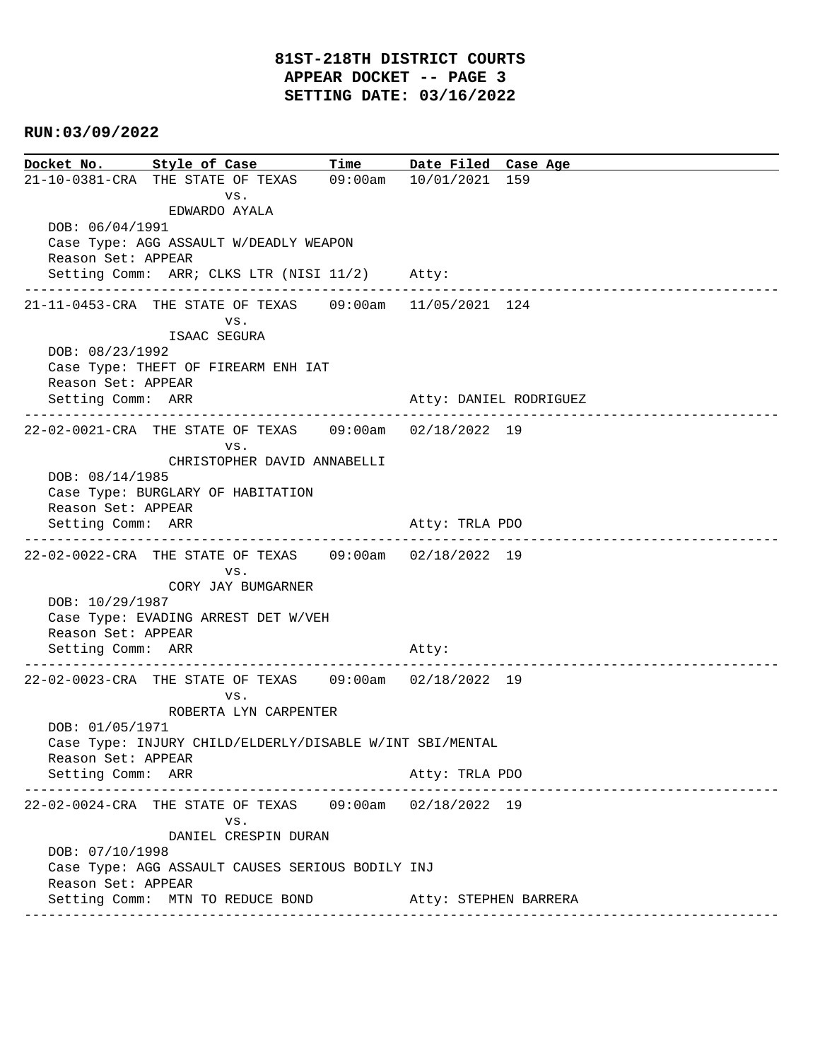**Docket No. Style of Case Time Date Filed Case Age**  21-10-0381-CRA THE STATE OF TEXAS 09:00am 10/01/2021 159 vs. EDWARDO AYALA DOB: 06/04/1991 Case Type: AGG ASSAULT W/DEADLY WEAPON Reason Set: APPEAR Setting Comm: ARR; CLKS LTR (NISI 11/2) Atty: ---------------------------------------------------------------------------------------------- 21-11-0453-CRA THE STATE OF TEXAS 09:00am 11/05/2021 124 vs. ISAAC SEGURA DOB: 08/23/1992 Case Type: THEFT OF FIREARM ENH IAT Reason Set: APPEAR Setting Comm: ARR Atty: DANIEL RODRIGUEZ ---------------------------------------------------------------------------------------------- 22-02-0021-CRA THE STATE OF TEXAS 09:00am 02/18/2022 19 vs. CHRISTOPHER DAVID ANNABELLI DOB: 08/14/1985 Case Type: BURGLARY OF HABITATION Reason Set: APPEAR Setting Comm: ARR Atty: TRLA PDO ---------------------------------------------------------------------------------------------- 22-02-0022-CRA THE STATE OF TEXAS 09:00am 02/18/2022 19 vs. CORY JAY BUMGARNER DOB: 10/29/1987 Case Type: EVADING ARREST DET W/VEH Reason Set: APPEAR Setting Comm: ARR Atty: ---------------------------------------------------------------------------------------------- 22-02-0023-CRA THE STATE OF TEXAS 09:00am 02/18/2022 19 vs. ROBERTA LYN CARPENTER DOB: 01/05/1971 Case Type: INJURY CHILD/ELDERLY/DISABLE W/INT SBI/MENTAL Reason Set: APPEAR Setting Comm: ARR Atty: TRLA PDO ---------------------------------------------------------------------------------------------- 22-02-0024-CRA THE STATE OF TEXAS 09:00am 02/18/2022 19 vs. DANIEL CRESPIN DURAN DOB: 07/10/1998 Case Type: AGG ASSAULT CAUSES SERIOUS BODILY INJ Reason Set: APPEAR Setting Comm: MTN TO REDUCE BOND (Atty: STEPHEN BARRERA ----------------------------------------------------------------------------------------------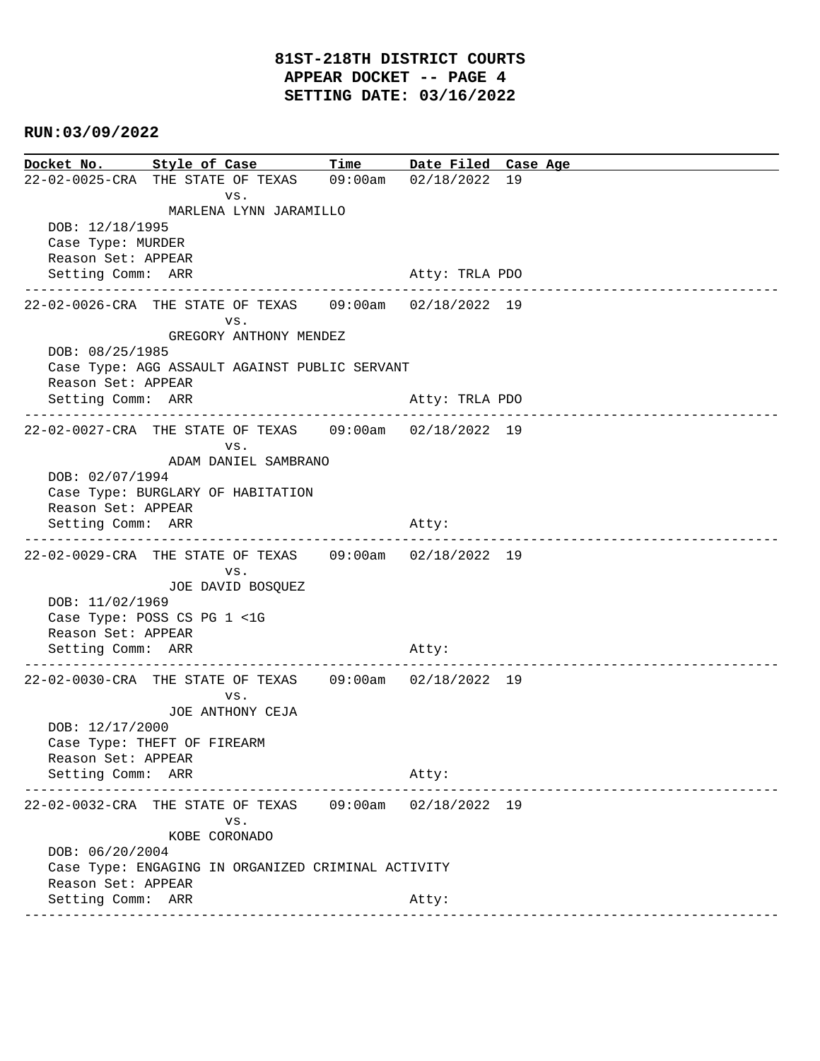**Docket No. Style of Case Time Date Filed Case Age**  22-02-0025-CRA THE STATE OF TEXAS 09:00am 02/18/2022 19 vs. MARLENA LYNN JARAMILLO DOB: 12/18/1995 Case Type: MURDER Reason Set: APPEAR Setting Comm: ARR Atty: TRLA PDO ---------------------------------------------------------------------------------------------- 22-02-0026-CRA THE STATE OF TEXAS 09:00am 02/18/2022 19 vs. GREGORY ANTHONY MENDEZ DOB: 08/25/1985 Case Type: AGG ASSAULT AGAINST PUBLIC SERVANT Reason Set: APPEAR Setting Comm: ARR Atty: TRLA PDO ---------------------------------------------------------------------------------------------- 22-02-0027-CRA THE STATE OF TEXAS 09:00am 02/18/2022 19 vs. ADAM DANIEL SAMBRANO DOB: 02/07/1994 Case Type: BURGLARY OF HABITATION Reason Set: APPEAR Setting Comm: ARR Atty: ---------------------------------------------------------------------------------------------- 22-02-0029-CRA THE STATE OF TEXAS 09:00am 02/18/2022 19 vs. JOE DAVID BOSQUEZ DOB: 11/02/1969 Case Type: POSS CS PG 1 <1G Reason Set: APPEAR Setting Comm: ARR Atty: ---------------------------------------------------------------------------------------------- 22-02-0030-CRA THE STATE OF TEXAS 09:00am 02/18/2022 19 vs. JOE ANTHONY CEJA DOB: 12/17/2000 Case Type: THEFT OF FIREARM Reason Set: APPEAR Setting Comm: ARR Atty: ---------------------------------------------------------------------------------------------- 22-02-0032-CRA THE STATE OF TEXAS 09:00am 02/18/2022 19 vs. KOBE CORONADO DOB: 06/20/2004 Case Type: ENGAGING IN ORGANIZED CRIMINAL ACTIVITY Reason Set: APPEAR Setting Comm: ARR Atty: ----------------------------------------------------------------------------------------------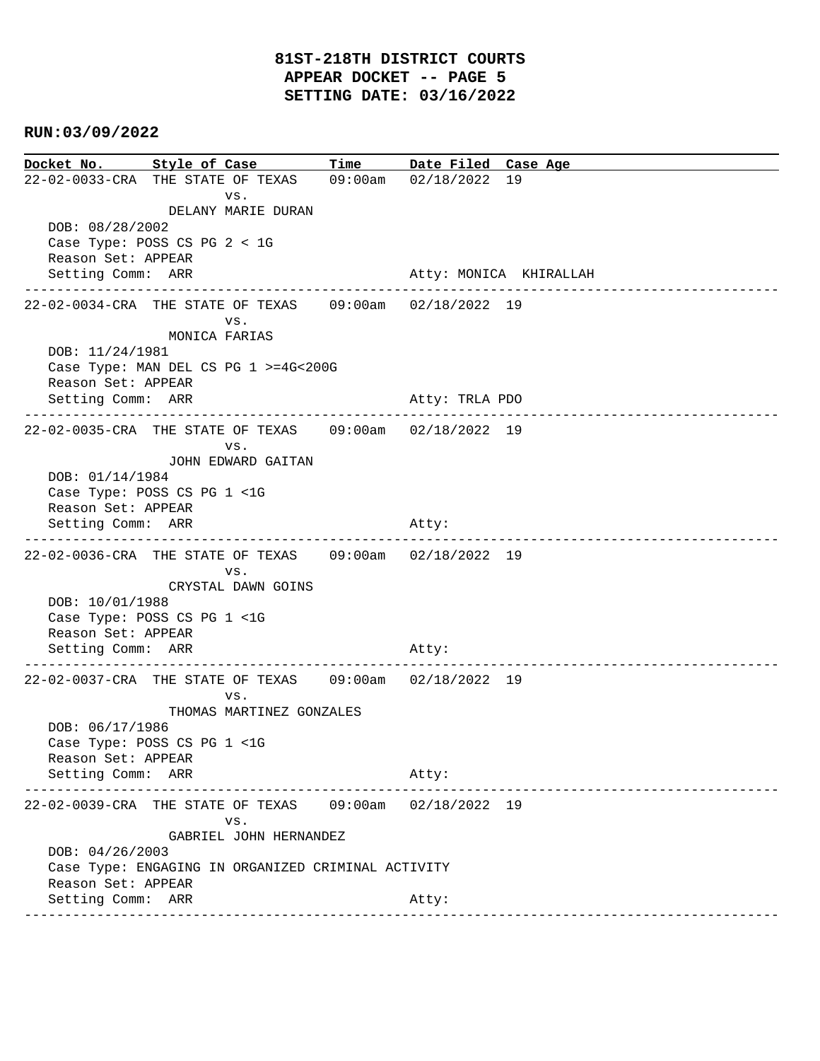**Docket No. Style of Case Time Date Filed Case Age**  22-02-0033-CRA THE STATE OF TEXAS 09:00am 02/18/2022 19 vs. DELANY MARIE DURAN DOB: 08/28/2002 Case Type: POSS CS PG 2 < 1G Reason Set: APPEAR Setting Comm: ARR Atty: MONICA KHIRALLAH ---------------------------------------------------------------------------------------------- 22-02-0034-CRA THE STATE OF TEXAS 09:00am 02/18/2022 19 vs. MONICA FARIAS DOB: 11/24/1981 Case Type: MAN DEL CS PG 1 >=4G<200G Reason Set: APPEAR Setting Comm: ARR Atty: TRLA PDO ---------------------------------------------------------------------------------------------- 22-02-0035-CRA THE STATE OF TEXAS 09:00am 02/18/2022 19 vs. JOHN EDWARD GAITAN DOB: 01/14/1984 Case Type: POSS CS PG 1 <1G Reason Set: APPEAR Setting Comm: ARR Atty: ---------------------------------------------------------------------------------------------- 22-02-0036-CRA THE STATE OF TEXAS 09:00am 02/18/2022 19 vs. CRYSTAL DAWN GOINS DOB: 10/01/1988 Case Type: POSS CS PG 1 <1G Reason Set: APPEAR Setting Comm: ARR Atty: ---------------------------------------------------------------------------------------------- 22-02-0037-CRA THE STATE OF TEXAS 09:00am 02/18/2022 19 vs. THOMAS MARTINEZ GONZALES DOB: 06/17/1986 Case Type: POSS CS PG 1 <1G Reason Set: APPEAR Setting Comm: ARR Atty: ---------------------------------------------------------------------------------------------- 22-02-0039-CRA THE STATE OF TEXAS 09:00am 02/18/2022 19 vs. GABRIEL JOHN HERNANDEZ DOB: 04/26/2003 Case Type: ENGAGING IN ORGANIZED CRIMINAL ACTIVITY Reason Set: APPEAR Setting Comm: ARR Atty: ----------------------------------------------------------------------------------------------